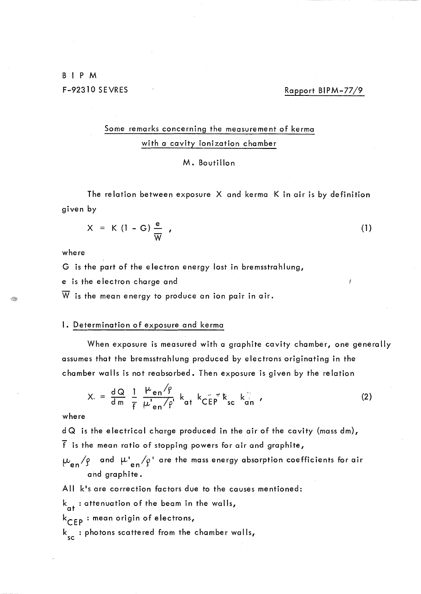B 1 P M F-92310 SEVRES Rapport BIPM-77/9

# Some remarks concerning the measurement of kerma with a cavity ionization chamber

#### M. Boutillon

The relation between exposure X and kerma K in air is by definition given by

$$
X = K (1 - G) \frac{e}{W} \t\t(1)
$$

where

Î.

G is the part of the electron energy lost in bremsstrahlung,

e is the electron charge and

 $\overline{W}$  is the mean energy to produce an ion pair in air.

## **1.** Determination of exposure and kerma

When exposure is measured with a graphite cavity chamber, one generally assumes that the bremsstrahlung produced by electrons originating in the chamber wa Ils is not reabsorbed. Then exposure is given by the re lation

$$
X = \frac{dQ}{dm} \frac{1}{f} \frac{\mu_{en}/\rho}{\mu_{en}/\rho} k_{at} k_{CEP} \kappa_{sc} k_{can}^{\frac{d}{d}}
$$
 (2)

#### where

d Q is the electrical charge produced in the air of the cavity (mass dm), f is the mean ratio of stopping powers for air and graphite,

and  $\mu'_{\texttt{en}}/\rho'$  are the mass energy absorption coefficients for air and graphite.

All k's are correction factors due to the causes mentioned:

 $k_{\alpha t}$  : attenuation of the beam in the walls,

k CEP : mean origin of electrons,

 ${\sf k}_{\rm sc}^{}$  : photons scattered from the chamber walls,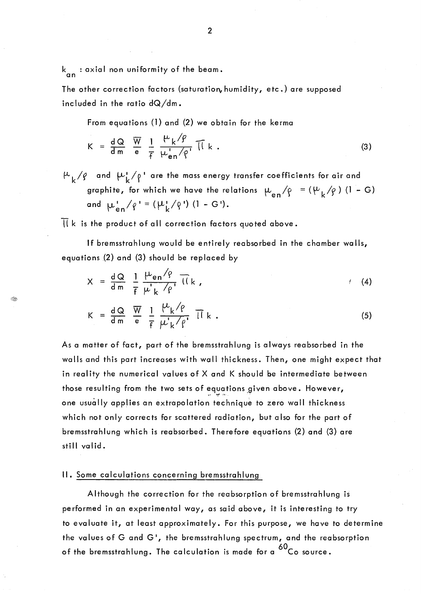k<sub>an</sub> : axial non uniformity of the beam.

~

The other correction factors (saturation, humidity, etc.) are supposed inc luded in the ratio dQ/dm.

From equations (1) and (2) we obtain for the kerma

$$
K = \frac{dQ}{dm} \frac{\overline{W}}{e} \frac{1}{f} \frac{\mu_k/\rho}{\mu_{en} - \rho} \overline{I} \overline{I} k .
$$
 (3)

 $\mu_{k}/\rho_{\rm c}$  and  $\mu_{k}^{1}/\rho_{\rm c}$  are the mass energy transfer coefficients for air and graphite, for which we have the relations  $\mu_{en}/\rho = (\mu_k/\rho)$  (1 – G) and  $\mu_{an}^{\perp}/\rho' = (\mu_{k}^{\perp}/\rho')$  (1 - G').

 $11$  k is the product of all correction factors quoted above.

If bremsstrahlung would be entirely reabsorbed in the chamber walls, equations (2) and (3) should be replaced by

$$
X = \frac{dQ}{dm} \frac{1}{f} \frac{\mu_{en} / \rho}{\mu_{k} / \rho'} \overline{I(k,1)}
$$
 (4)

$$
K = \frac{dQ}{dm} \frac{\overline{W}}{e} = \frac{1}{f} \frac{\mu_{k}/\rho}{\mu_{k}/\rho} \overline{11} k .
$$
 (5)

As a matter of fact, part of the bremsstrahlung is always reabsorbed in the walls and this part increases with wall thickness. Then, one might expect that in reality the numerical values of X and K should be intermediate between those resulting from the two sets of equations given above. However, one usually applies an extrapolation technique to zero wall thickness which not only corrects for scattered radiation, but also for the part of bremsstrahlung which is reabsorbed. Therefore equations (2) and (3) are still valid.

#### II. Some calculations concerning bremsstrahlung

Although the correction for the reabsorption of bremsstrahlung is performed in an experimental way, as said above, it is interesting to try to evaluate it, at least approximately. For this purpose, we have to determine the values of Gand G', the bremsstrahlung spectrum, and the reabsorption of the bremsstrahlung. The calculation is made for a <sup>60</sup>Co source.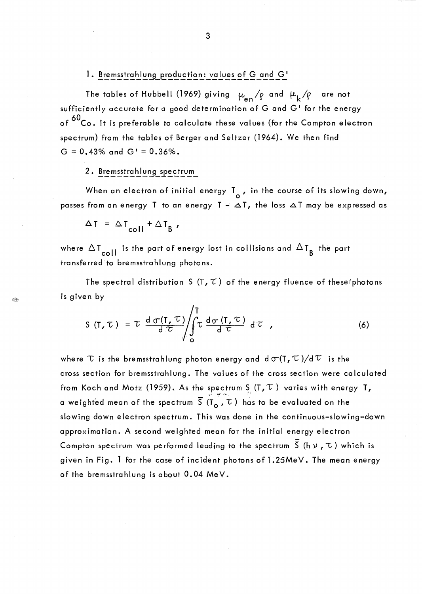## 1. Bremsstrahlung production: values of G and G'

The tables of Hubbell (1969) giving  $\mu_{en}/\rho$  and  $\mu_k/\rho$  are not sufficiently accurate for a good determination of G and G' for the energy of <sup>60</sup>Co. It is preferable to calculate these values (for the Compton electron spectrum) from the tables of Berger and Seltzer (1964). We then find  $G = 0.43\%$  and  $G' = 0.36\%$ .

## 2. Bremsstrahlung spectrum

When an electron of initial energy  $\mathsf{T}_{\mathsf{o}}$  , in the course of its slowing down, passes from an energy T to an energy  $T - \Delta T$ , the loss  $\Delta T$  may be expressed as

$$
\Delta T = \Delta T_{\text{coll}} + \Delta T_{\text{B}} ,
$$

S.

where  $\Delta T_{coll}$  is the part of energy lost in collisions and  $\Delta T_{B}$  the part transferred to bremsstrahlung photons.

The spectral distribution S (T,  $\tau$ ) of the energy fluence of these/photons is given by

$$
S(T, \tau) = \tau \frac{d \sigma(T, \tau)}{d \tau} \int_{0}^{T} \tau \frac{d \sigma(T, \tau)}{d \tau} d\tau , \qquad (6)
$$

where  $\tau$  is the bremsstrahlung photon energy and  $d\sigma(T,\tau)/d\tau$  is the cross section for bremsstrahlung. The values of the cross section were calculated from Koch and Motz (1959). As the spectrum S<sub>.</sub> (T,  $\widetilde{\iota}$  ) varies with energy T, a weighted mean of the spectrum  $\overline{S}(T_{o}, \overline{\tau})$  has to be evaluated on the slowing down e lectron spectrum. This was done in the continuous-slowing-down approximation. A second weighted mean for the initial energy electron Compton spectrum was performed leading to the spectrum  $\overline{\overline{S}}$  (h  $\vee$  ,  $\tau$ ) which is given in Fig. 1 for the case of incident photons of L25MeV. The mean energy of the bremsstrahlung is about 0.04 MeV.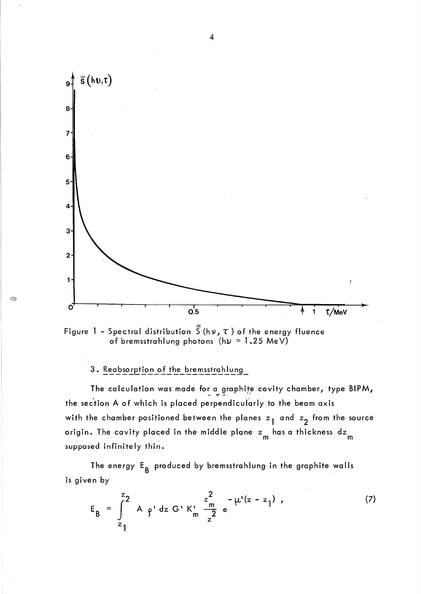



# 3. Reabsorption of the bremsstrahlung

i R

The calculation was made for a graphite cavity chamber, type BIPM, the section A of which is placed perpendicularly to the beam axis with the chamber positioned between the planes  $z_1$  and  $z_2$  from the source origin. The cavity placed in the middle plane  $z_{\,\sf m}$  has a thickness  $\textsf{dz}_{\,\sf m}$ supposed infinite Iy thin.

The energy E<sub>B</sub> produced by bremsstrahlung in the graphite walls is given by

$$
E_B = \int_{z_1}^{z_2} A \rho' dz G' K_m' \frac{z_m^2}{z^2} e^{-\mu'(z - z_1)}, \qquad (7)
$$

4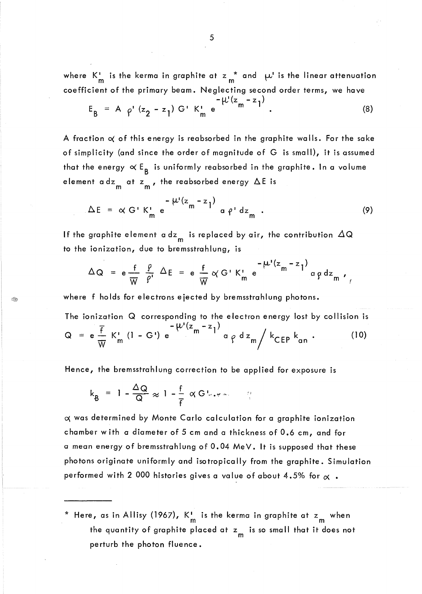where  $K_m^{\prime}$  is the kerma in graphite at  $z_m^*$  and  $\mu^{\prime}$  is the linear attenuation coefficient of the primary beam. Neglecting second order terms, we have

$$
E_{B} = A \rho' (z_{2} - z_{1}) G' K'_{m} e^{-\mu' (z_{m} - z_{1})}.
$$
 (8)

A fraction  $\alpha$  of this energy is reabsorbed in the graphite walls. For the sake of simplicity (and since the order of magnitude of G is small), it is assumed that the energy  $\propto \mathsf{E}_{\mathsf{B}}$  is uniformly reabsorbed in the graphite. In a volume element adz<sub>m</sub> at z<sub>m</sub>, the reabsorbed energy  $\Delta E$  is

$$
\Delta E = \alpha G' K_m' e^{-\mu'(z_m - z_l)} a \rho' dz_m .
$$
 (9)

If the graphite element a dz<sub>m</sub> is replaced by air, the contribution  $\Delta Q$ to the ionization, due to bremsstrahlung, is

$$
\Delta Q = e \frac{f}{W} \frac{\rho}{\rho'} \Delta E = e \frac{f}{W} \alpha G' K_m' e^{-\mu' (z_m - z_l)} \alpha \rho dz_m,
$$

where f holds for electrons ejected by bremsstrahlung photons.

The ionization Q corresponding to the electron energy lost by collision is  
\n
$$
-\psi'(z_m - z_1)
$$
  
\n $Q = e \frac{\overline{f}}{W} K'_m (1 - G') e^{-\psi'(z_m - z_1)} a \rho dz_m / k_{CEP} k_{an}$  (10)

Hence, the bremsstrahlung correction to be applied for exposure is

$$
k_{B} = 1 - \frac{\Delta Q}{Q} \approx 1 - \frac{f}{f} \propto G V_{\text{eff}} \sim 1
$$

 $\alpha$  was determined by Monte Carlo calculation for a graphite ionization chamber w ith a diameter of 5 cm and a thickness of 0.6 cm, and for a mean energy of bremsstrahlung of 0.04 MeV. It is supposed that these photons originate uniformly and isotropically from the graphite. Simulation performed with 2 000 histories gives a value of about 4.5% for  $\alpha$ .

\* Here, as in Allisy (1967),  $K_{\sf m}^{\sf I}$  is the kerma in graphite at  ${\sf z}_{\sf m}^{\sf m}$  when the quantity of graphite placed at  $z_{_{\mathsf{m}}}$  is so small that it does not perturb the photon fluence.